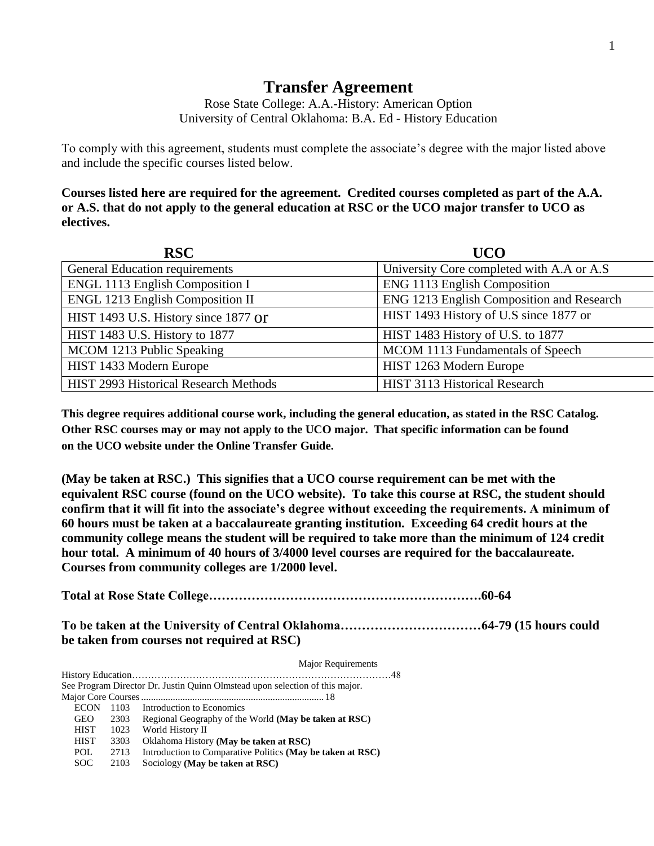## **Transfer Agreement**

Rose State College: A.A.-History: American Option University of Central Oklahoma: B.A. Ed - History Education

To comply with this agreement, students must complete the associate's degree with the major listed above and include the specific courses listed below.

**Courses listed here are required for the agreement. Credited courses completed as part of the A.A. or A.S. that do not apply to the general education at RSC or the UCO major transfer to UCO as electives.**

| <b>RSC</b>                              | <b>UCO</b>                                |
|-----------------------------------------|-------------------------------------------|
| <b>General Education requirements</b>   | University Core completed with A.A or A.S |
| ENGL 1113 English Composition I         | ENG 1113 English Composition              |
| <b>ENGL 1213 English Composition II</b> | ENG 1213 English Composition and Research |
| HIST 1493 U.S. History since 1877 Or    | HIST 1493 History of U.S since 1877 or    |
| HIST 1483 U.S. History to 1877          | HIST 1483 History of U.S. to 1877         |
| MCOM 1213 Public Speaking               | MCOM 1113 Fundamentals of Speech          |
| HIST 1433 Modern Europe                 | HIST 1263 Modern Europe                   |
| HIST 2993 Historical Research Methods   | HIST 3113 Historical Research             |

**This degree requires additional course work, including the general education, as stated in the RSC Catalog. Other RSC courses may or may not apply to the UCO major. That specific information can be found on the UCO website under the Online Transfer Guide.**

**(May be taken at RSC.) This signifies that a UCO course requirement can be met with the equivalent RSC course (found on the UCO website). To take this course at RSC, the student should confirm that it will fit into the associate's degree without exceeding the requirements. A minimum of 60 hours must be taken at a baccalaureate granting institution. Exceeding 64 credit hours at the community college means the student will be required to take more than the minimum of 124 credit hour total. A minimum of 40 hours of 3/4000 level courses are required for the baccalaureate. Courses from community colleges are 1/2000 level.**

**Total at Rose State College……………………………………………………….60-64**

**To be taken at the University of Central Oklahoma……………………………64-79 (15 hours could be taken from courses not required at RSC)**

Major Requirements History Education………………………………………………………………………48 See Program Director Dr. Justin Quinn Olmstead upon selection of this major. Major Core Courses........................................................................... 18 ECON 1103 Introduction to Economics GEO 2303 Regional Geography of the World **(May be taken at RSC)** HIST 1023 World History II HIST 3303 Oklahoma History **(May be taken at RSC)** POL 2713 Introduction to Comparative Politics **(May be taken at RSC)** SOC 2103 Sociology **(May be taken at RSC)**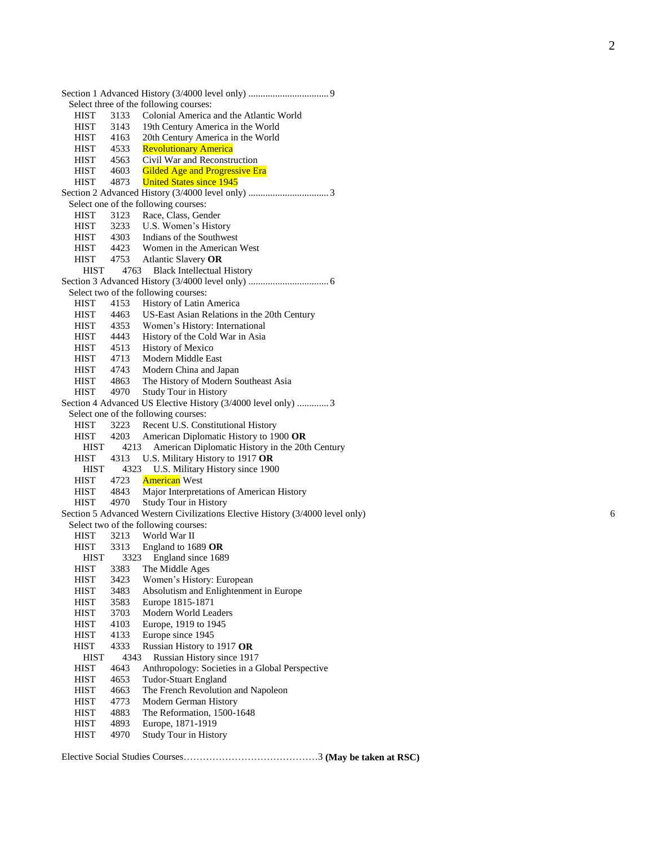|                            | Select three of the following courses:                                                                                                                                                                                                                                                                                                     |
|----------------------------|--------------------------------------------------------------------------------------------------------------------------------------------------------------------------------------------------------------------------------------------------------------------------------------------------------------------------------------------|
| 3133                       | Colonial America and the Atlantic World                                                                                                                                                                                                                                                                                                    |
| 3143                       | 19th Century America in the World                                                                                                                                                                                                                                                                                                          |
| 4163                       | 20th Century America in the World                                                                                                                                                                                                                                                                                                          |
|                            | <b>Revolutionary America</b>                                                                                                                                                                                                                                                                                                               |
| 4563                       | Civil War and Reconstruction                                                                                                                                                                                                                                                                                                               |
| 4603                       | Gilded Age and Progressive Era                                                                                                                                                                                                                                                                                                             |
| 4873                       | <b>United States since 1945</b>                                                                                                                                                                                                                                                                                                            |
|                            |                                                                                                                                                                                                                                                                                                                                            |
|                            | Select one of the following courses:                                                                                                                                                                                                                                                                                                       |
|                            | Race, Class, Gender                                                                                                                                                                                                                                                                                                                        |
|                            | U.S. Women's History                                                                                                                                                                                                                                                                                                                       |
|                            |                                                                                                                                                                                                                                                                                                                                            |
|                            | HIST 4303 Indians of the Southwest<br>HIST 4423 Women in the American West                                                                                                                                                                                                                                                                 |
|                            | HIST 4753 Atlantic Slavery OR                                                                                                                                                                                                                                                                                                              |
|                            | 4763 Black Intellectual History                                                                                                                                                                                                                                                                                                            |
|                            |                                                                                                                                                                                                                                                                                                                                            |
|                            | Select two of the following courses:                                                                                                                                                                                                                                                                                                       |
|                            | History of Latin America                                                                                                                                                                                                                                                                                                                   |
|                            | US-East Asian Relations in the 20th Century                                                                                                                                                                                                                                                                                                |
|                            | Women's History: International                                                                                                                                                                                                                                                                                                             |
|                            | History of the Cold War in Asia                                                                                                                                                                                                                                                                                                            |
|                            |                                                                                                                                                                                                                                                                                                                                            |
|                            | History of Mexico                                                                                                                                                                                                                                                                                                                          |
|                            | Modern Middle East                                                                                                                                                                                                                                                                                                                         |
|                            | Modern China and Japan                                                                                                                                                                                                                                                                                                                     |
|                            | The History of Modern Southeast Asia                                                                                                                                                                                                                                                                                                       |
|                            | <b>Study Tour in History</b>                                                                                                                                                                                                                                                                                                               |
|                            | Section 4 Advanced US Elective History (3/4000 level only)  3                                                                                                                                                                                                                                                                              |
|                            | Select one of the following courses:                                                                                                                                                                                                                                                                                                       |
|                            | Recent U.S. Constitutional History                                                                                                                                                                                                                                                                                                         |
|                            | American Diplomatic History to 1900 OR                                                                                                                                                                                                                                                                                                     |
|                            | American Diplomatic History in the 20th Century                                                                                                                                                                                                                                                                                            |
|                            | U.S. Military History to 1917 OR                                                                                                                                                                                                                                                                                                           |
|                            | U.S. Military History since 1900                                                                                                                                                                                                                                                                                                           |
|                            | <b>American</b> West                                                                                                                                                                                                                                                                                                                       |
|                            | Major Interpretations of American History                                                                                                                                                                                                                                                                                                  |
|                            | <b>Study Tour in History</b>                                                                                                                                                                                                                                                                                                               |
|                            | Section 5 Advanced Western Civilizations Elective History (3/4000 level only)                                                                                                                                                                                                                                                              |
|                            | Select two of the following courses:                                                                                                                                                                                                                                                                                                       |
|                            | World War II                                                                                                                                                                                                                                                                                                                               |
|                            | 3313 England to 1689 OR                                                                                                                                                                                                                                                                                                                    |
|                            | England since 1689                                                                                                                                                                                                                                                                                                                         |
|                            | The Middle Ages                                                                                                                                                                                                                                                                                                                            |
|                            | Women's History: European                                                                                                                                                                                                                                                                                                                  |
|                            | Absolutism and Enlightenment in Europe                                                                                                                                                                                                                                                                                                     |
|                            | Europe 1815-1871                                                                                                                                                                                                                                                                                                                           |
| 3703                       | Modern World Leaders                                                                                                                                                                                                                                                                                                                       |
| 4103                       | Europe, 1919 to 1945                                                                                                                                                                                                                                                                                                                       |
| 4133                       | Europe since 1945                                                                                                                                                                                                                                                                                                                          |
| 4333                       | Russian History to 1917 OR                                                                                                                                                                                                                                                                                                                 |
| 4343                       | Russian History since 1917                                                                                                                                                                                                                                                                                                                 |
| 4643                       | Anthropology: Societies in a Global Perspective                                                                                                                                                                                                                                                                                            |
| 4653                       | Tudor-Stuart England                                                                                                                                                                                                                                                                                                                       |
| 4663                       | The French Revolution and Napoleon                                                                                                                                                                                                                                                                                                         |
| 4773                       | Modern German History                                                                                                                                                                                                                                                                                                                      |
| 4883                       | The Reformation, 1500-1648                                                                                                                                                                                                                                                                                                                 |
| 4893                       | Europe, 1871-1919                                                                                                                                                                                                                                                                                                                          |
| 4970                       | Study Tour in History                                                                                                                                                                                                                                                                                                                      |
| <b>HIST</b><br><b>HIST</b> | <b>HIST</b><br>HIST 4533<br>HIST 4563<br>3123<br>HIST 3233<br><b>HIST</b><br>4153<br>4463<br>4353<br>HIST 4443<br>HIST 4513<br>HIST 4713<br><b>HIST</b><br>4743<br>4863<br>4970<br>3223<br>4203<br><b>HIST</b><br>4213<br>HIST 4313<br>4323<br>HIST<br><b>HIST</b><br>4723<br>4843<br>4970<br>3213<br>3323<br>3383<br>3423<br>3483<br>3583 |

Elective Social Studies Courses…………………………………… 3 **(May be taken at RSC)**